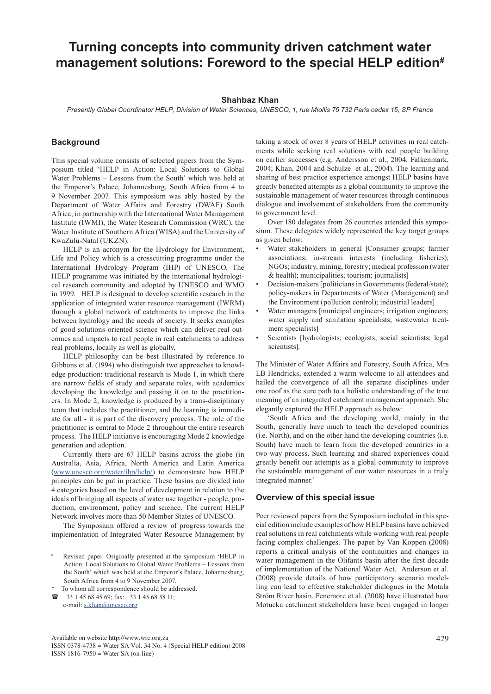# **Turning concepts into community driven catchment water management solutions: Foreword to the special HELP edition#**

#### **Shahbaz Khan**

*Presently Global Coordinator HELP, Division of Water Sciences, UNESCO, 1, rue Miollis 75 732 Paris cedex 15, SP France*

# **Background**

This special volume consists of selected papers from the Symposium titled 'HELP in Action: Local Solutions to Global Water Problems – Lessons from the South' which was held at the Emperor's Palace, Johannesburg, South Africa from 4 to 9 November 2007. This symposium was ably hosted by the Department of Water Affairs and Forestry (DWAF) South Africa, in partnership with the International Water Management Institute (IWMI), the Water Research Commission (WRC), the Water Institute of Southern Africa (WISA) and the University of KwaZulu-Natal (UKZN).

HELP is an acronym for the Hydrology for Environment, Life and Policy which is a crosscutting programme under the International Hydrology Program (IHP) of UNESCO. The HELP programme was initiated by the international hydrological research community and adopted by UNESCO and WMO in 1999. HELP is designed to develop scientific research in the application of integrated water resource management (IWRM) through a global network of catchments to improve the links between hydrology and the needs of society. It seeks examples of good solutions-oriented science which can deliver real outcomes and impacts to real people in real catchments to address real problems, locally as well as globally.

HELP philosophy can be best illustrated by reference to Gibbons et al. (1994) who distinguish two approaches to knowledge production: traditional research is Mode 1, in which there are narrow fields of study and separate roles, with academics developing the knowledge and passing it on to the practitioners. In Mode 2, knowledge is produced by a trans-disciplinary team that includes the practitioner, and the learning is immediate for all - it is part of the discovery process. The role of the practitioner is central to Mode 2 throughout the entire research process. The HELP initiative is encouraging Mode 2 knowledge generation and adoption.

Currently there are 67 HELP basins across the globe (in Australia, Asia, Africa, North America and Latin America (www.unesco.org/water/ihp/help/) to demonstrate how HELP principles can be put in practice. These basins are divided into 4 categories based on the level of development in relation to the ideals of bringing all aspects of water use together - people, production, environment, policy and science. The current HELP Network involves more than 50 Member States of UNESCO.

The Symposium offered a review of progress towards the implementation of Integrated Water Resource Management by

To whom all correspondence should be addressed.

Available on website http://www.wrc.org.za ISSN 0378-4738 = Water SA Vol. 34 No. 4 (Special HELP edition) 2008 ISSN 1816-7950 = Water SA (on-line)

taking a stock of over 8 years of HELP activities in real catchments while seeking real solutions with real people building on earlier successes (e.g. Andersson et al., 2004; Falkenmark, 2004; Khan, 2004 and Schulze et al., 2004). The learning and sharing of best practice experience amongst HELP basins have greatly benefited attempts as a global community to improve the sustainable management of water resources through continuous dialogue and involvement of stakeholders from the community to government level.

Over 180 delegates from 26 countries attended this symposium. These delegates widely represented the key target groups as given below:

- Water stakeholders in general [Consumer groups; farmer associations; in-stream interests (including fisheries); NGOs; industry, mining, forestry; medical profession (water & health); municipalities; tourism; journalists]
- Decision-makers [politicians in Governments (federal/state); policy-makers in Departments of Water (Management) and the Environment (pollution control); industrial leaders]
- Water managers [municipal engineers; irrigation engineers; water supply and sanitation specialists; wastewater treatment specialists]
- Scientists [hydrologists; ecologists; social scientists; legal scientists].

The Minister of Water Affairs and Forestry, South Africa, Mrs LB Hendricks, extended a warm welcome to all attendees and hailed the convergence of all the separate disciplines under one roof as the sure path to a holistic understanding of the true meaning of an integrated catchment management approach. She elegantly captured the HELP approach as below:

'South Africa and the developing world, mainly in the South, generally have much to teach the developed countries (i.e. North), and on the other hand the developing countries (i.e. South) have much to learn from the developed countries in a two-way process. Such learning and shared experiences could greatly benefit our attempts as a global community to improve the sustainable management of our water resources in a truly integrated manner.'

#### **Overview of this special issue**

Peer reviewed papers from the Symposium included in this special edition include examples of how HELP basins have achieved real solutions in real catchments while working with real people facing complex challenges. The paper by Van Koppen (2008) reports a critical analysis of the continuities and changes in water management in the Olifants basin after the first decade of implementation of the National Water Act. Anderson et al. (2008) provide details of how participatory scenario modelling can lead to effective stakeholder dialogues in the Motala Ström River basin. Fenemore et al. (2008) have illustrated how Motueka catchment stakeholders have been engaged in longer

Revised paper. Originally presented at the symposium 'HELP in Action: Local Solutions to Global Water Problems – Lessons from the South' which was held at the Emperor's Palace, Johannesburg, South Africa from 4 to 9 November 2007.

+33 1 45 68 45 69; fax: +33 1 45 68 58 11; e-mail: s.khan@unesco.org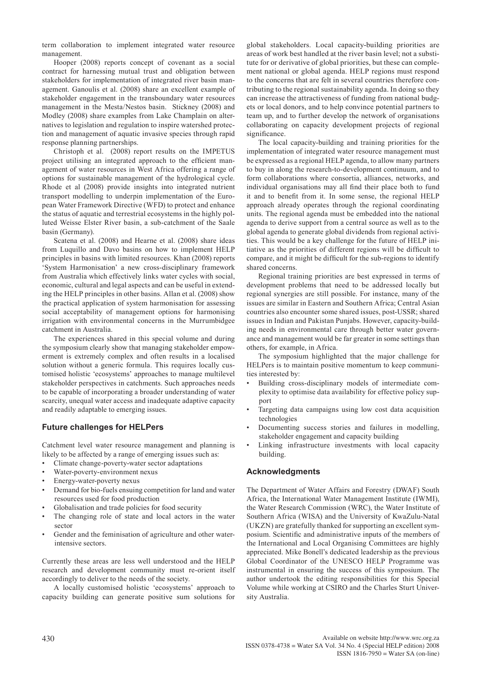term collaboration to implement integrated water resource management.

Hooper (2008) reports concept of covenant as a social contract for harnessing mutual trust and obligation between stakeholders for implementation of integrated river basin management. Ganoulis et al. (2008) share an excellent example of stakeholder engagement in the transboundary water resources management in the Mesta/Nestos basin. Stickney (2008) and Modley (2008) share examples from Lake Champlain on alternatives to legislation and regulation to inspire watershed protection and management of aquatic invasive species through rapid response planning partnerships.

Christoph et al. (2008) report results on the IMPETUS project utilising an integrated approach to the efficient management of water resources in West Africa offering a range of options for sustainable management of the hydrological cycle. Rhode et al (2008) provide insights into integrated nutrient transport modelling to underpin implementation of the European Water Framework Directive (WFD) to protect and enhance the status of aquatic and terrestrial ecosystems in the highly polluted Weisse Elster River basin, a sub-catchment of the Saale basin (Germany).

Scatena et al. (2008) and Hearne et al. (2008) share ideas from Luquillo and Davo basins on how to implement HELP principles in basins with limited resources. Khan (2008) reports 'System Harmonisation' a new cross-disciplinary framework from Australia which effectively links water cycles with social, economic, cultural and legal aspects and can be useful in extending the HELP principles in other basins. Allan et al. (2008) show the practical application of system harmonisation for assessing social acceptability of management options for harmonising irrigation with environmental concerns in the Murrumbidgee catchment in Australia.

The experiences shared in this special volume and during the symposium clearly show that managing stakeholder empowerment is extremely complex and often results in a localised solution without a generic formula. This requires locally customised holistic 'ecosystems' approaches to manage multilevel stakeholder perspectives in catchments. Such approaches needs to be capable of incorporating a broader understanding of water scarcity, unequal water access and inadequate adaptive capacity and readily adaptable to emerging issues.

# **Future challenges for HELPers**

Catchment level water resource management and planning is likely to be affected by a range of emerging issues such as:

- Climate change-poverty-water sector adaptations
- Water-poverty-environment nexus
- Energy-water-poverty nexus
- Demand for bio-fuels ensuing competition for land and water resources used for food production
- Globalisation and trade policies for food security
- The changing role of state and local actors in the water sector
- Gender and the feminisation of agriculture and other waterintensive sectors.

Currently these areas are less well understood and the HELP research and development community must re-orient itself accordingly to deliver to the needs of the society.

A locally customised holistic 'ecosystems' approach to capacity building can generate positive sum solutions for

global stakeholders. Local capacity-building priorities are areas of work best handled at the river basin level; not a substitute for or derivative of global priorities, but these can complement national or global agenda. HELP regions must respond to the concerns that are felt in several countries therefore contributing to the regional sustainability agenda. In doing so they can increase the attractiveness of funding from national budgets or local donors, and to help convince potential partners to team up, and to further develop the network of organisations collaborating on capacity development projects of regional significance.

The local capacity-building and training priorities for the implementation of integrated water resource management must be expressed as a regional HELP agenda, to allow many partners to buy in along the research-to-development continuum, and to form collaborations where consortia, alliances, networks, and individual organisations may all find their place both to fund it and to benefit from it. In some sense, the regional HELP approach already operates through the regional coordinating units. The regional agenda must be embedded into the national agenda to derive support from a central source as well as to the global agenda to generate global dividends from regional activities. This would be a key challenge for the future of HELP initiative as the priorities of different regions will be difficult to compare, and it might be difficult for the sub-regions to identify shared concerns.

Regional training priorities are best expressed in terms of development problems that need to be addressed locally but regional synergies are still possible. For instance, many of the issues are similar in Eastern and Southern Africa; Central Asian countries also encounter some shared issues, post-USSR; shared issues in Indian and Pakistan Punjabs. However, capacity-building needs in environmental care through better water governance and management would be far greater in some settings than others, for example, in Africa.

The symposium highlighted that the major challenge for HELPers is to maintain positive momentum to keep communities interested by:

- Building cross-disciplinary models of intermediate complexity to optimise data availability for effective policy support
- Targeting data campaigns using low cost data acquisition technologies
- Documenting success stories and failures in modelling, stakeholder engagement and capacity building
- Linking infrastructure investments with local capacity building.

### **Acknowledgments**

The Department of Water Affairs and Forestry (DWAF) South Africa, the International Water Management Institute (IWMI), the Water Research Commission (WRC), the Water Institute of Southern Africa (WISA) and the University of KwaZulu-Natal (UKZN) are gratefully thanked for supporting an excellent symposium. Scientific and administrative inputs of the members of the International and Local Organising Committees are highly appreciated. Mike Bonell's dedicated leadership as the previous Global Coordinator of the UNESCO HELP Programme was instrumental in ensuring the success of this symposium. The author undertook the editing responsibilities for this Special Volume while working at CSIRO and the Charles Sturt University Australia.